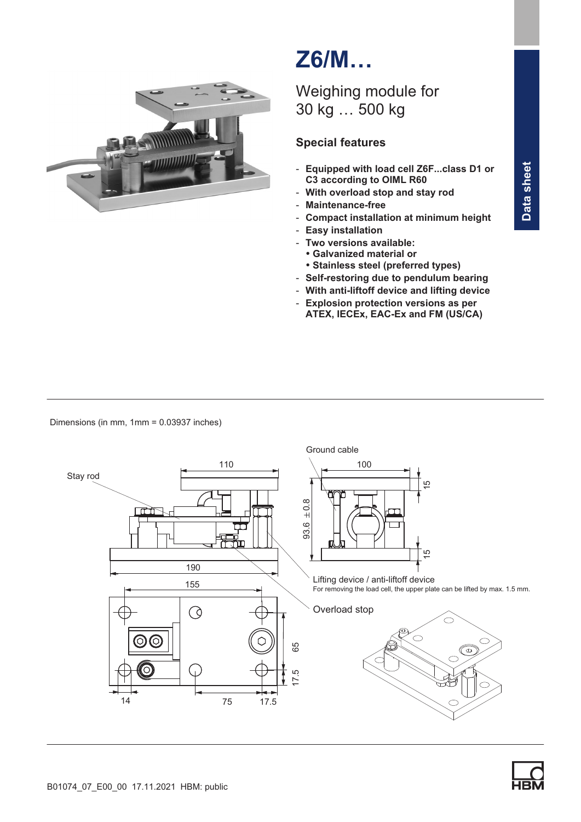

# Z6/M…

## Weighing module for 30 kg … 500 kg

## Special features

- Equipped with load cell Z6F...class D1 or C3 according to OIML R60
- With overload stop and stay rod
- Maintenance‐free
- Compact installation at minimum height
- Easy installation
- Two versions available: -
	- Galvanized material or -
	- Stainless steel (preferred types)
- Self‐restoring due to pendulum bearing
- With anti‐liftoff device and lifting device
- Explosion protection versions as per ATEX, IECEx, EAC-Ex and FM (US/CA)

Dimensions (in mm, 1mm = 0.03937 inches)



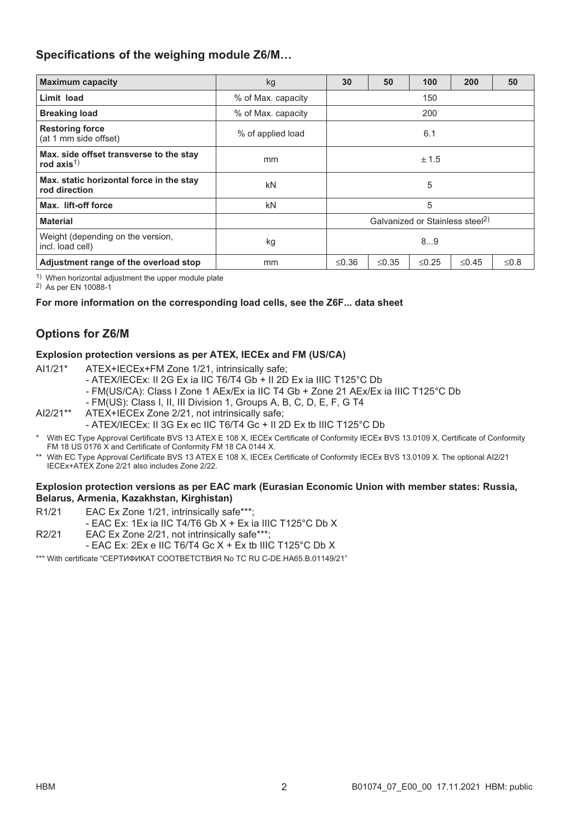## Specifications of the weighing module Z6/M…

| <b>Maximum capacity</b>                                   | kg                                          | 30          | 50                         | 100 | 200         | 50     |
|-----------------------------------------------------------|---------------------------------------------|-------------|----------------------------|-----|-------------|--------|
| Limit load                                                | % of Max. capacity                          | 150         |                            |     |             |        |
| <b>Breaking load</b>                                      | % of Max. capacity                          | 200         |                            |     |             |        |
| <b>Restoring force</b><br>(at 1 mm side offset)           | % of applied load                           | 6.1         |                            |     |             |        |
| Max. side offset transverse to the stay<br>rod $axis1$    | mm                                          | ± 1.5       |                            |     |             |        |
| Max. static horizontal force in the stay<br>rod direction | kN                                          | 5           |                            |     |             |        |
| Max. lift-off force                                       | kN                                          | 5           |                            |     |             |        |
| <b>Material</b>                                           | Galvanized or Stainless steel <sup>2)</sup> |             |                            |     |             |        |
| Weight (depending on the version,<br>incl. load cell)     | kg                                          | 89          |                            |     |             |        |
| Adjustment range of the overload stop                     | mm                                          | $\leq$ 0.36 | $\leq$ 0.35<br>$\leq$ 0.25 |     | $\leq$ 0.45 | $≤0.8$ |

1) When horizontal adjustment the upper module plate

2) As per EN 10088-1

#### For more information on the corresponding load cells, see the Z6F... data sheet

## Options for Z6/M

#### Explosion protection versions as per ATEX, IECEx and FM (US/CA)

- AI1/21\* ATEX+IECEx+FM Zone 1/21, intrinsically safe;
	- ATEX/IECEx: II 2G Ex ia IIC T6/T4 Gb + II 2D Ex ia IIIC T125°C Db
	- FM(US/CA): Class I Zone 1 AEx/Ex ia IIC T4 Gb + Zone 21 AEx/Ex ia IIIC T125°C Db
	- FM(US): Class I, II, III Division 1, Groups A, B, C, D, E, F, G T4
- AI2/21\*\* ATEX+IECEx Zone 2/21, not intrinsically safe;
	- ATEX/IECEx: II 3G Ex ec IIC T6/T4 Gc + II 2D Ex tb IIIC T125°C Db
- With EC Type Approval Certificate BVS 13 ATEX E 108 X, IECEx Certificate of Conformity IECEx BVS 13.0109 X, Certificate of Conformity FM 18 US 0176 X and Certificate of Conformity FM 18 CA 0144 X.
- \*\* With EC Type Approval Certificate BVS 13 ATEX E 108 X, IECEx Certificate of Conformity IECEx BVS 13.0109 X. The optional AI2/21 IECEx+ATEX Zone 2/21 also includes Zone 2/22.

#### Explosion protection versions as per EAC mark (Eurasian Economic Union with member states: Russia, Belarus, Armenia, Kazakhstan, Kirghistan)

- R1/21 EAC Ex Zone 1/21, intrinsically safe\*\*\*;
	- EAC Ex: 1Ex ia IIC T4/T6 Gb X + Ex ia IIIC T125°C Db X
- R2/21 EAC Ex Zone 2/21, not intrinsically safe\*\*\*;
	- EAC Ex: 2Ex e IIC T6/T4 Gc X + Ex tb IIIC T125°C Db X

\*\*\* With certificate "СЕРТИФИКАТ СООТВЕТСТВИЯ No TC RU C-DE.HA65.B.01149/21"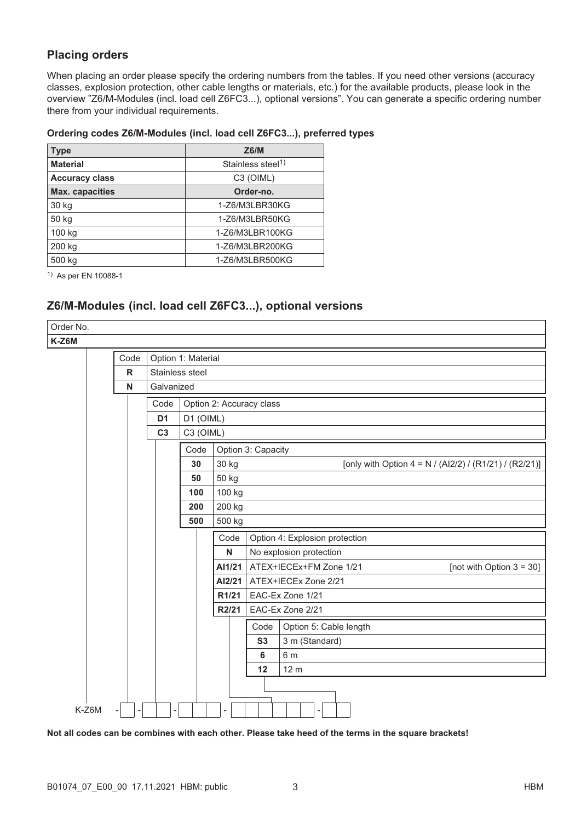## Placing orders

When placing an order please specify the ordering numbers from the tables. If you need other versions (accuracy classes, explosion protection, other cable lengths or materials, etc.) for the available products, please look in the overview "Z6/M‐Modules (incl. load cell Z6FC3...), optional versions". You can generate a specific ordering number there from your individual requirements.

#### Ordering codes Z6/M‐Modules (incl. load cell Z6FC3...), preferred types

| Type                   | Z6/M                          |
|------------------------|-------------------------------|
| <b>Material</b>        | Stainless steel <sup>1)</sup> |
| <b>Accuracy class</b>  | C <sub>3</sub> (OIML)         |
| <b>Max. capacities</b> | Order-no.                     |
| 30 kg                  | 1-Z6/M3LBR30KG                |
| 50 kg                  | 1-Z6/M3LBR50KG                |
| 100 kg                 | 1-Z6/M3LBR100KG               |
| 200 kg                 | 1-Z6/M3LBR200KG               |
| 500 kg                 | 1-Z6/M3LBR500KG               |

1) As per EN 10088-1

## Z6/M‐Modules (incl. load cell Z6FC3...), optional versions

| Order No. |      |                           |                                                                       |                                                                  |           |                        |  |  |  |  |
|-----------|------|---------------------------|-----------------------------------------------------------------------|------------------------------------------------------------------|-----------|------------------------|--|--|--|--|
| K-Z6M     |      |                           |                                                                       |                                                                  |           |                        |  |  |  |  |
|           | Code | Option 1: Material        |                                                                       |                                                                  |           |                        |  |  |  |  |
|           | R    | Stainless steel           |                                                                       |                                                                  |           |                        |  |  |  |  |
|           | N    | Galvanized                |                                                                       |                                                                  |           |                        |  |  |  |  |
|           |      | Code                      | Option 2: Accuracy class                                              |                                                                  |           |                        |  |  |  |  |
|           |      | D <sub>1</sub>            | D1 (OIML)                                                             |                                                                  |           |                        |  |  |  |  |
|           |      | C <sub>3</sub>            | C3 (OIML)                                                             |                                                                  |           |                        |  |  |  |  |
|           |      |                           | Code<br>Option 3: Capacity                                            |                                                                  |           |                        |  |  |  |  |
|           |      |                           | 30 kg<br>30<br>[only with Option 4 = N / (Al2/2) / (R1/21) / (R2/21)] |                                                                  |           |                        |  |  |  |  |
|           |      |                           | 50<br>50 kg                                                           |                                                                  |           |                        |  |  |  |  |
|           |      |                           | 100<br>100 kg                                                         |                                                                  |           |                        |  |  |  |  |
|           |      |                           | 200<br>200 kg                                                         |                                                                  |           |                        |  |  |  |  |
|           |      |                           |                                                                       | 500<br>500 kg                                                    |           |                        |  |  |  |  |
|           |      |                           |                                                                       | Code<br>Option 4: Explosion protection                           |           |                        |  |  |  |  |
|           |      |                           |                                                                       | No explosion protection<br>N                                     |           |                        |  |  |  |  |
|           |      |                           |                                                                       | ATEX+IECEx+FM Zone 1/21<br>AI1/21<br>[not with Option $3 = 30$ ] |           |                        |  |  |  |  |
|           |      |                           |                                                                       | ATEX+IECEx Zone 2/21<br>Al2/21                                   |           |                        |  |  |  |  |
|           |      |                           | EAC-Ex Zone 1/21<br>R1/21                                             |                                                                  |           |                        |  |  |  |  |
|           |      | EAC-Ex Zone 2/21<br>R2/21 |                                                                       |                                                                  |           |                        |  |  |  |  |
|           |      |                           |                                                                       |                                                                  | Code      | Option 5: Cable length |  |  |  |  |
|           |      |                           |                                                                       |                                                                  | <b>S3</b> | 3 m (Standard)         |  |  |  |  |
|           |      |                           |                                                                       |                                                                  | 6         | 6 m                    |  |  |  |  |
|           |      |                           |                                                                       |                                                                  | 12        | 12 <sub>m</sub>        |  |  |  |  |
|           |      |                           |                                                                       |                                                                  |           |                        |  |  |  |  |
| K-Z6M     |      |                           |                                                                       |                                                                  |           |                        |  |  |  |  |

Not all codes can be combines with each other. Please take heed of the terms in the square brackets!